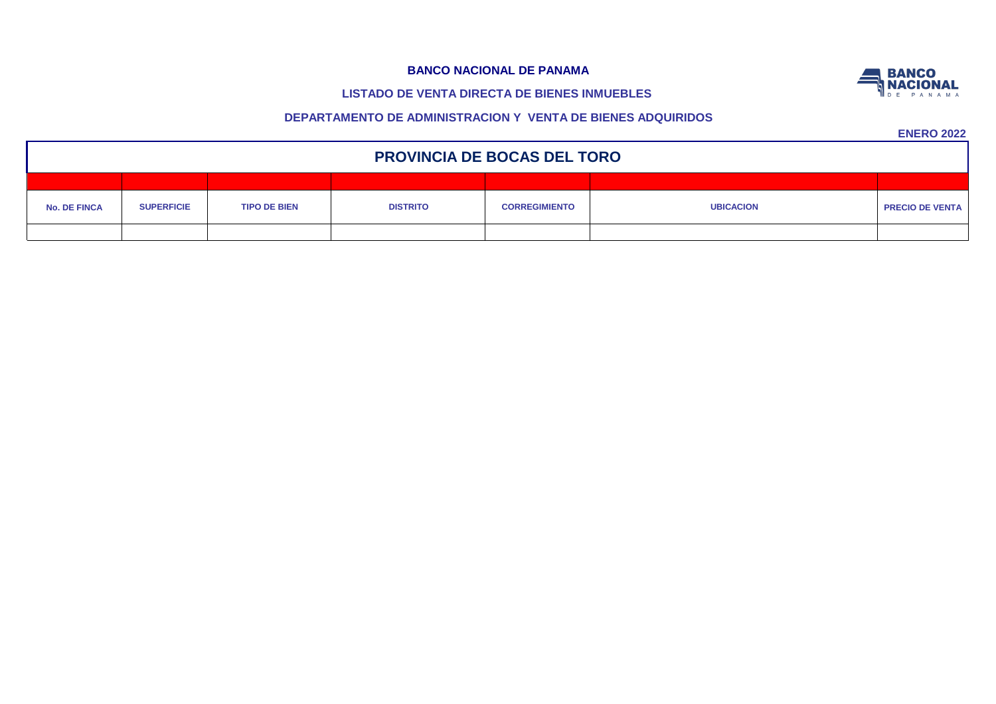# **LISTADO DE VENTA DIRECTA DE BIENES INMUEBLES**

# **DEPARTAMENTO DE ADMINISTRACION Y VENTA DE BIENES ADQUIRIDOS**

| <b>PROVINCIA DE BOCAS DEL TORO</b> |                   |                     |                 |                      |                  |                        |  |  |  |  |
|------------------------------------|-------------------|---------------------|-----------------|----------------------|------------------|------------------------|--|--|--|--|
|                                    |                   |                     |                 |                      |                  |                        |  |  |  |  |
| <b>No. DE FINCA</b>                | <b>SUPERFICIE</b> | <b>TIPO DE BIEN</b> | <b>DISTRITO</b> | <b>CORREGIMIENTO</b> | <b>UBICACION</b> | <b>PRECIO DE VENTA</b> |  |  |  |  |
|                                    |                   |                     |                 |                      |                  |                        |  |  |  |  |

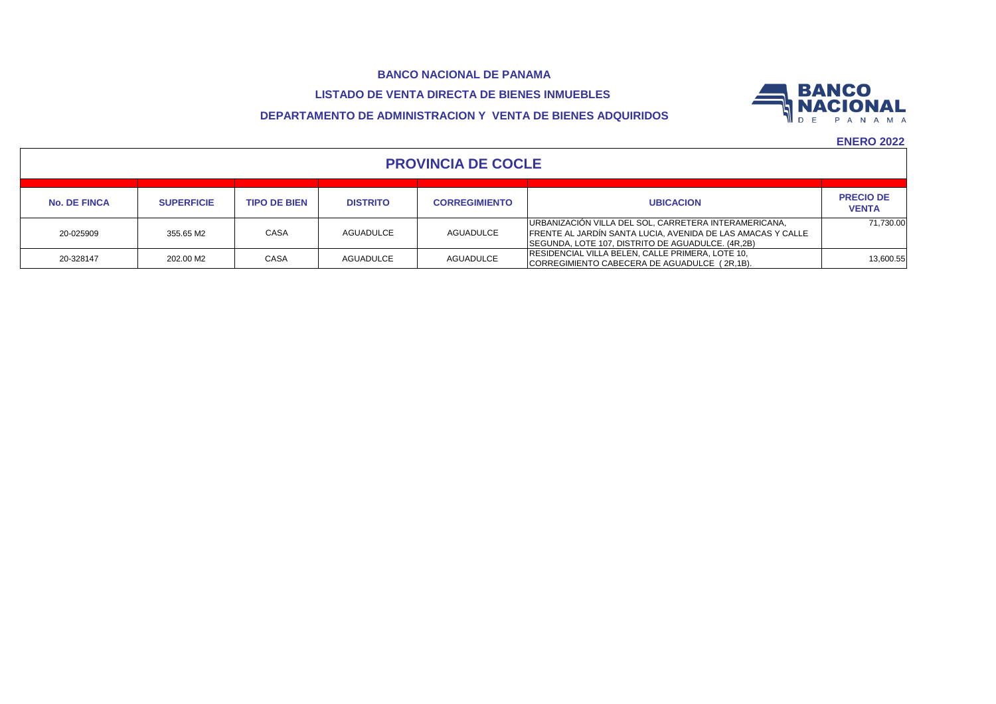# **LISTADO DE VENTA DIRECTA DE BIENES INMUEBLES**

# **DEPARTAMENTO DE ADMINISTRACION Y VENTA DE BIENES ADQUIRIDOS**



| <b>PROVINCIA DE COCLE</b> |                   |                     |                 |                      |                                                                                                                                                                           |                                  |  |  |
|---------------------------|-------------------|---------------------|-----------------|----------------------|---------------------------------------------------------------------------------------------------------------------------------------------------------------------------|----------------------------------|--|--|
| <b>No. DE FINCA</b>       | <b>SUPERFICIE</b> | <b>TIPO DE BIEN</b> | <b>DISTRITO</b> | <b>CORREGIMIENTO</b> | <b>UBICACION</b>                                                                                                                                                          | <b>PRECIO DE</b><br><b>VENTA</b> |  |  |
| 20-025909                 | 355.65 M2         | CASA                | AGUADULCE       | <b>AGUADULCE</b>     | URBANIZACIÓN VILLA DEL SOL, CARRETERA INTERAMERICANA,<br>FRENTE AL JARDÍN SANTA LUCIA, AVENIDA DE LAS AMACAS Y CALLE<br>SEGUNDA, LOTE 107, DISTRITO DE AGUADULCE. (4R,2B) | 71.730.00                        |  |  |
| 20-328147                 | 202.00 M2         | CASA                | AGUADULCE       | <b>AGUADULCE</b>     | RESIDENCIAL VILLA BELEN, CALLE PRIMERA, LOTE 10,<br>CORREGIMIENTO CABECERA DE AGUADULCE (2R,1B).                                                                          | 13.600.55                        |  |  |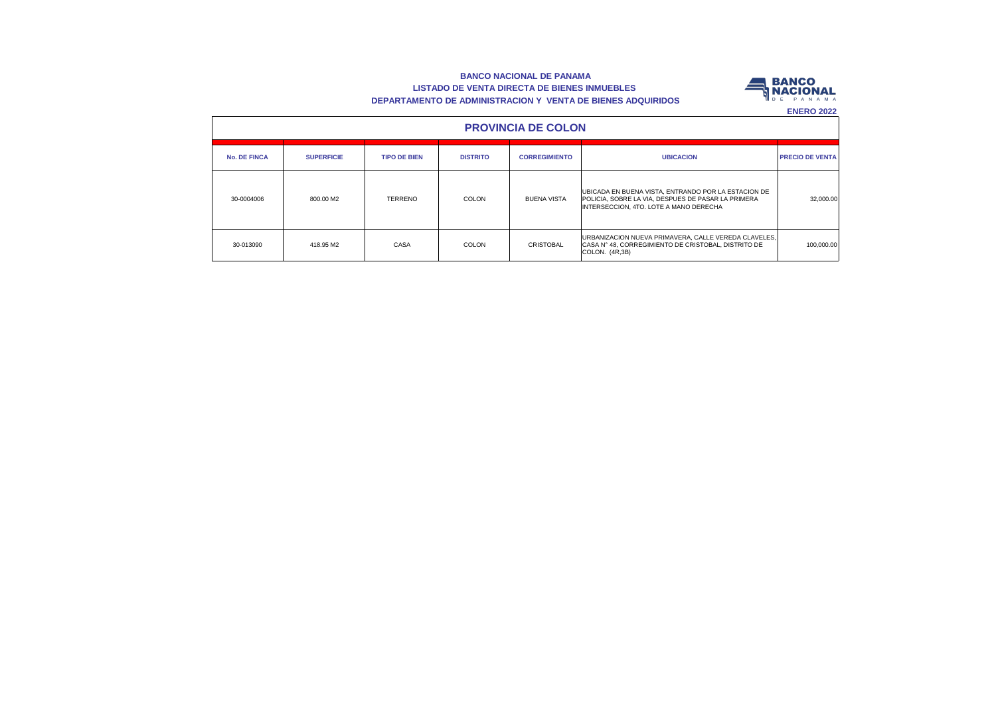#### **BANCO NACIONAL DE PANAMA LISTADO DE VENTA DIRECTA DE BIENES INMUEBLES DEPARTAMENTO DE ADMINISTRACION Y VENTA DE BIENES ADQUIRIDOS**



| <b>PROVINCIA DE COLON</b> |                   |                     |                 |                      |                                                                                                                                                     |                        |  |  |  |  |
|---------------------------|-------------------|---------------------|-----------------|----------------------|-----------------------------------------------------------------------------------------------------------------------------------------------------|------------------------|--|--|--|--|
| <b>No. DE FINCA</b>       | <b>SUPERFICIE</b> | <b>TIPO DE BIEN</b> | <b>DISTRITO</b> | <b>CORREGIMIENTO</b> | <b>UBICACION</b>                                                                                                                                    | <b>PRECIO DE VENTA</b> |  |  |  |  |
| 30-0004006                | 800.00 M2         | <b>TERRENO</b>      | COLON           | <b>BUENA VISTA</b>   | UBICADA EN BUENA VISTA, ENTRANDO POR LA ESTACION DE<br>POLICIA, SOBRE LA VIA, DESPUES DE PASAR LA PRIMERA<br>INTERSECCION, 4TO, LOTE A MANO DERECHA | 32,000.00              |  |  |  |  |
| 30-013090                 | 418.95 M2         | CASA                | COLON           | <b>CRISTOBAL</b>     | URBANIZACION NUEVA PRIMAVERA, CALLE VEREDA CLAVELES,<br>CASA N° 48, CORREGIMIENTO DE CRISTOBAL, DISTRITO DE<br>COLON. (4R,3B)                       | 100.000.00             |  |  |  |  |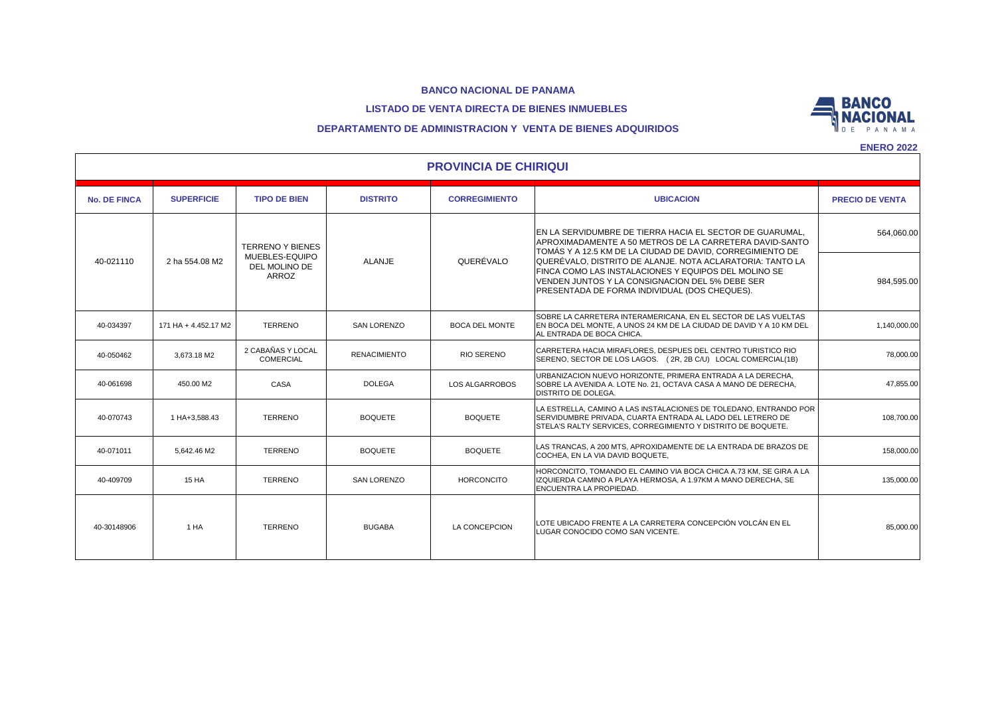#### **LISTADO DE VENTA DIRECTA DE BIENES INMUEBLES**



## **DEPARTAMENTO DE ADMINISTRACION Y VENTA DE BIENES ADQUIRIDOS**

| <b>PROVINCIA DE CHIRIQUI</b> |                                           |                                       |                     |                                                                                                                                                                                  |                                                                                                                                                                                                                       |                        |  |  |  |
|------------------------------|-------------------------------------------|---------------------------------------|---------------------|----------------------------------------------------------------------------------------------------------------------------------------------------------------------------------|-----------------------------------------------------------------------------------------------------------------------------------------------------------------------------------------------------------------------|------------------------|--|--|--|
| <b>No. DE FINCA</b>          | <b>SUPERFICIE</b>                         | <b>TIPO DE BIEN</b>                   | <b>DISTRITO</b>     | <b>CORREGIMIENTO</b>                                                                                                                                                             | <b>UBICACION</b>                                                                                                                                                                                                      | <b>PRECIO DE VENTA</b> |  |  |  |
| 2 ha 554.08 M2<br>40-021110  | <b>TERRENO Y BIENES</b><br>MUEBLES-EQUIPO |                                       |                     | EN LA SERVIDUMBRE DE TIERRA HACIA EL SECTOR DE GUARUMAL.<br>APROXIMADAMENTE A 50 METROS DE LA CARRETERA DAVID-SANTO<br>TOMÁS Y A 12.5 KM DE LA CIUDAD DE DAVID, CORREGIMIENTO DE | 564,060.00                                                                                                                                                                                                            |                        |  |  |  |
|                              |                                           | DEL MOLINO DE<br><b>ARROZ</b>         | ALANJE              | QUERÉVALO                                                                                                                                                                        | QUERÉVALO, DISTRITO DE ALANJE. NOTA ACLARATORIA: TANTO LA<br>FINCA COMO LAS INSTALACIONES Y EQUIPOS DEL MOLINO SE<br>VENDEN JUNTOS Y LA CONSIGNACION DEL 5% DEBE SER<br>PRESENTADA DE FORMA INDIVIDUAL (DOS CHEQUES). | 984,595.00             |  |  |  |
| 40-034397                    | 171 HA + 4.452.17 M2                      | <b>TERRENO</b>                        | <b>SAN LORENZO</b>  | <b>BOCA DEL MONTE</b>                                                                                                                                                            | SOBRE LA CARRETERA INTERAMERICANA. EN EL SECTOR DE LAS VUELTAS<br>EN BOCA DEL MONTE, A UNOS 24 KM DE LA CIUDAD DE DAVID Y A 10 KM DEL<br>AL ENTRADA DE BOCA CHICA.                                                    | 1,140,000.00           |  |  |  |
| 40-050462                    | 3.673.18 M2                               | 2 CABAÑAS Y LOCAL<br><b>COMERCIAL</b> | <b>RENACIMIENTO</b> | <b>RIO SERENO</b>                                                                                                                                                                | CARRETERA HACIA MIRAFLORES, DESPUES DEL CENTRO TURISTICO RIO<br>SERENO, SECTOR DE LOS LAGOS. (2R, 2B C/U) LOCAL COMERCIAL(1B)                                                                                         | 78,000.00              |  |  |  |
| 40-061698                    | 450.00 M2                                 | CASA                                  | <b>DOLEGA</b>       | LOS ALGARROBOS                                                                                                                                                                   | URBANIZACION NUEVO HORIZONTE, PRIMERA ENTRADA A LA DERECHA,<br>SOBRE LA AVENIDA A. LOTE No. 21, OCTAVA CASA A MANO DE DERECHA,<br><b>DISTRITO DE DOLEGA.</b>                                                          | 47,855.00              |  |  |  |
| 40-070743                    | 1 HA+3,588.43                             | <b>TERRENO</b>                        | <b>BOQUETE</b>      | <b>BOQUETE</b>                                                                                                                                                                   | LA ESTRELLA, CAMINO A LAS INSTALACIONES DE TOLEDANO, ENTRANDO POR<br>SERVIDUMBRE PRIVADA, CUARTA ENTRADA AL LADO DEL LETRERO DE<br>STELA'S RALTY SERVICES, CORREGIMIENTO Y DISTRITO DE BOQUETE.                       | 108,700.00             |  |  |  |
| 40-071011                    | 5.642.46 M2                               | <b>TERRENO</b>                        | <b>BOQUETE</b>      | <b>BOQUETE</b>                                                                                                                                                                   | LAS TRANCAS, A 200 MTS, APROXIDAMENTE DE LA ENTRADA DE BRAZOS DE<br>COCHEA, EN LA VIA DAVID BOQUETE,                                                                                                                  | 158.000.00             |  |  |  |
| 40-409709                    | <b>15 HA</b>                              | <b>TERRENO</b>                        | <b>SAN LORENZO</b>  | <b>HORCONCITO</b>                                                                                                                                                                | HORCONCITO, TOMANDO EL CAMINO VIA BOCA CHICA A.73 KM, SE GIRA A LA<br>IZQUIERDA CAMINO A PLAYA HERMOSA, A 1.97KM A MANO DERECHA, SE<br><b>ENCUENTRA LA PROPIEDAD.</b>                                                 | 135,000.00             |  |  |  |
| 40-30148906                  | 1 HA                                      | <b>TERRENO</b>                        | <b>BUGABA</b>       | LA CONCEPCION                                                                                                                                                                    | LOTE UBICADO FRENTE A LA CARRETERA CONCEPCIÓN VOLCÁN EN EL<br>LUGAR CONOCIDO COMO SAN VICENTE.                                                                                                                        | 85,000.00              |  |  |  |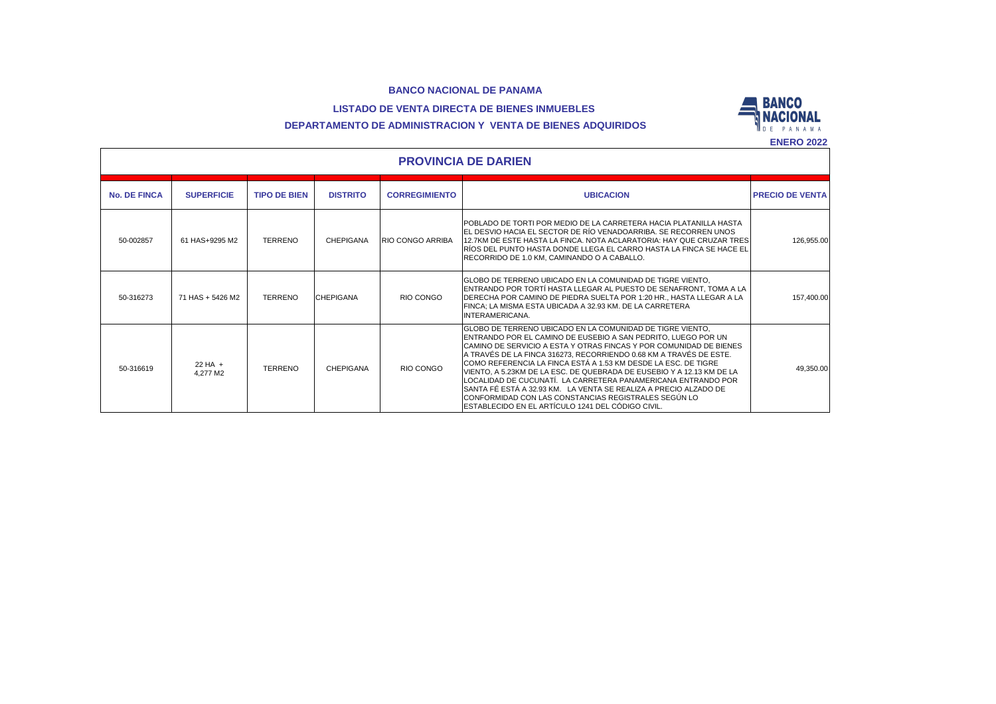# **LISTADO DE VENTA DIRECTA DE BIENES INMUEBLES**





|                     | <b>PROVINCIA DE DARIEN</b> |                     |                  |                         |                                                                                                                                                                                                                                                                                                                                                                                                                                                                                                                                                                                                                                                                      |                        |  |  |  |  |
|---------------------|----------------------------|---------------------|------------------|-------------------------|----------------------------------------------------------------------------------------------------------------------------------------------------------------------------------------------------------------------------------------------------------------------------------------------------------------------------------------------------------------------------------------------------------------------------------------------------------------------------------------------------------------------------------------------------------------------------------------------------------------------------------------------------------------------|------------------------|--|--|--|--|
| <b>No. DE FINCA</b> | <b>SUPERFICIE</b>          | <b>TIPO DE BIEN</b> | <b>DISTRITO</b>  | <b>CORREGIMIENTO</b>    | <b>UBICACION</b>                                                                                                                                                                                                                                                                                                                                                                                                                                                                                                                                                                                                                                                     | <b>PRECIO DE VENTA</b> |  |  |  |  |
| 50-002857           | 61 HAS+9295 M2             | <b>TERRENO</b>      | <b>CHEPIGANA</b> | <b>RIO CONGO ARRIBA</b> | POBLADO DE TORTI POR MEDIO DE LA CARRETERA HACIA PLATANILLA HASTA<br>EL DESVIO HACIA EL SECTOR DE RÍO VENADOARRIBA. SE RECORREN UNOS<br>12.7KM DE ESTE HASTA LA FINCA. NOTA ACLARATORIA: HAY QUE CRUZAR TRES<br>IRÍOS DEL PUNTO HASTA DONDE LLEGA EL CARRO HASTA LA FINCA SE HACE EL<br>RECORRIDO DE 1.0 KM. CAMINANDO O A CABALLO.                                                                                                                                                                                                                                                                                                                                  | 126,955.00             |  |  |  |  |
| 50-316273           | 71 HAS + 5426 M2           | <b>TERRENO</b>      | <b>CHEPIGANA</b> | RIO CONGO               | ÍGLOBO DE TERRENO UBICADO EN LA COMUNIDAD DE TIGRE VIENTO.<br>ENTRANDO POR TORTÍ HASTA LLEGAR AL PUESTO DE SENAFRONT, TOMA A LA<br>IDERECHA POR CAMINO DE PIEDRA SUELTA POR 1:20 HR., HASTA LLEGAR A LA<br>FINCA; LA MISMA ESTA UBICADA A 32.93 KM. DE LA CARRETERA<br>INTERAMERICANA.                                                                                                                                                                                                                                                                                                                                                                               | 157,400.00             |  |  |  |  |
| 50-316619           | 22 HA $+$<br>4.277 M2      | <b>TERRENO</b>      | <b>CHEPIGANA</b> | RIO CONGO               | GLOBO DE TERRENO UBICADO EN LA COMUNIDAD DE TIGRE VIENTO.<br>ENTRANDO POR EL CAMINO DE EUSEBIO A SAN PEDRITO. LUEGO POR UN<br>CAMINO DE SERVICIO A ESTA Y OTRAS FINCAS Y POR COMUNIDAD DE BIENES<br>A TRAVÉS DE LA FINCA 316273, RECORRIENDO 0.68 KM A TRAVÉS DE ESTE.<br>ICOMO REFERENCIA LA FINCA ESTÁ A 1.53 KM DESDE LA ESC. DE TIGRE<br>VIENTO. A 5.23KM DE LA ESC. DE QUEBRADA DE EUSEBIO Y A 12.13 KM DE LA<br>LOCALIDAD DE CUCUNATÍ. LA CARRETERA PANAMERICANA ENTRANDO POR<br>SANTA FÉ ESTÁ A 32.93 KM. LA VENTA SE REALIZA A PRECIO ALZADO DE<br>CONFORMIDAD CON LAS CONSTANCIAS REGISTRALES SEGÚN LO<br>ESTABLECIDO EN EL ARTÍCULO 1241 DEL CÓDIGO CIVIL. | 49,350.00              |  |  |  |  |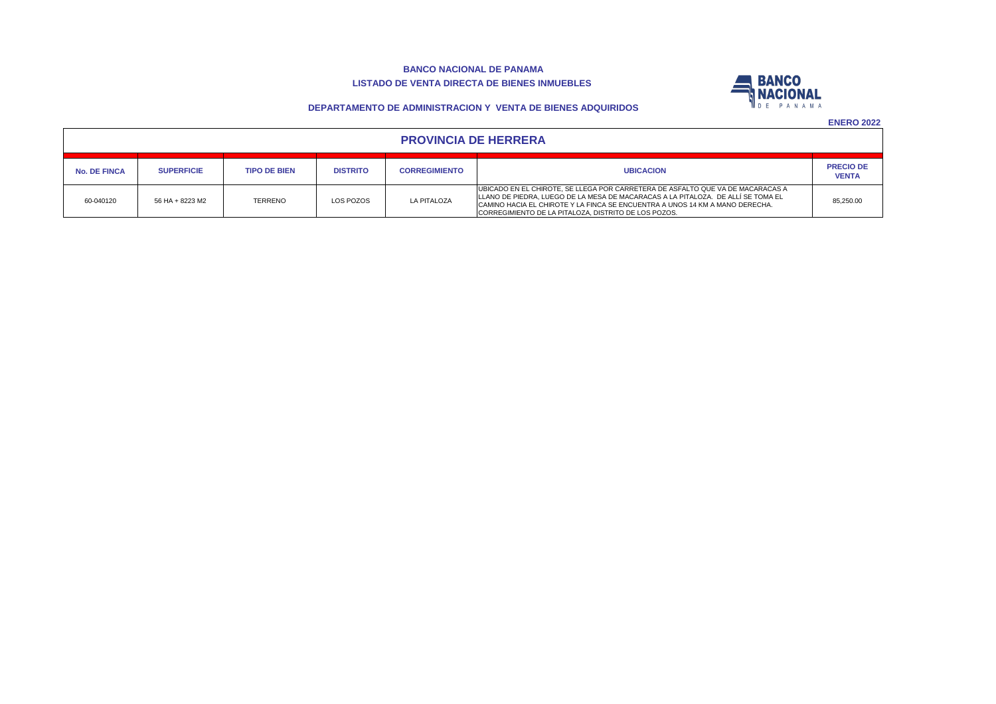#### **BANCO NACIONAL DE PANAMA LISTADO DE VENTA DIRECTA DE BIENES INMUEBLES**



**DEPARTAMENTO DE ADMINISTRACION Y VENTA DE BIENES ADQUIRIDOS**

| <b>PROVINCIA DE HERRERA</b> |                   |                     |                 |                      |                                                                                                                                                                                                                                                                                                            |                                  |  |  |  |
|-----------------------------|-------------------|---------------------|-----------------|----------------------|------------------------------------------------------------------------------------------------------------------------------------------------------------------------------------------------------------------------------------------------------------------------------------------------------------|----------------------------------|--|--|--|
| <b>No. DE FINCA</b>         | <b>SUPERFICIE</b> | <b>TIPO DE BIEN</b> | <b>DISTRITO</b> | <b>CORREGIMIENTO</b> | <b>UBICACION</b>                                                                                                                                                                                                                                                                                           | <b>PRECIO DE</b><br><b>VENTA</b> |  |  |  |
| 60-040120                   | 56 HA + 8223 M2   | <b>TERRENO</b>      | LOS POZOS       | <b>LA PITALOZA</b>   | UBICADO EN EL CHIROTE, SE LLEGA POR CARRETERA DE ASFALTO QUE VA DE MACARACAS A<br>LLANO DE PIEDRA, LUEGO DE LA MESA DE MACARACAS A LA PITALOZA. DE ALLÍ SE TOMA EL<br>CAMINO HACIA EL CHIROTE Y LA FINCA SE ENCUENTRA A UNOS 14 KM A MANO DERECHA.<br>CORREGIMIENTO DE LA PITALOZA. DISTRITO DE LOS POZOS. | 85,250.00                        |  |  |  |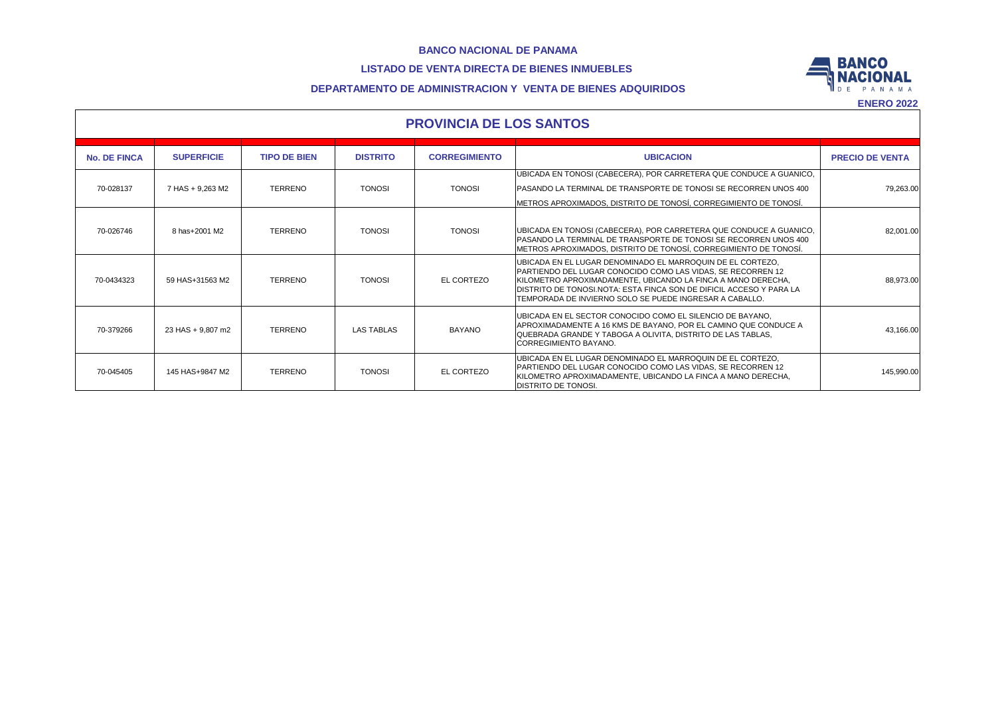# **LISTADO DE VENTA DIRECTA DE BIENES INMUEBLES**



## **DEPARTAMENTO DE ADMINISTRACION Y VENTA DE BIENES ADQUIRIDOS**

| <b>PROVINCIA DE LOS SANTOS</b> |                   |                     |                   |                      |                                                                                                                                                                                                                                                                                                                                     |                        |  |  |  |
|--------------------------------|-------------------|---------------------|-------------------|----------------------|-------------------------------------------------------------------------------------------------------------------------------------------------------------------------------------------------------------------------------------------------------------------------------------------------------------------------------------|------------------------|--|--|--|
| <b>No. DE FINCA</b>            | <b>SUPERFICIE</b> | <b>TIPO DE BIEN</b> | <b>DISTRITO</b>   | <b>CORREGIMIENTO</b> | <b>UBICACION</b>                                                                                                                                                                                                                                                                                                                    | <b>PRECIO DE VENTA</b> |  |  |  |
| 70-028137                      | 7 HAS + 9.263 M2  | <b>TERRENO</b>      | <b>TONOSI</b>     | <b>TONOSI</b>        | UBICADA EN TONOSI (CABECERA), POR CARRETERA QUE CONDUCE A GUANICO,<br><b>PASANDO LA TERMINAL DE TRANSPORTE DE TONOSI SE RECORREN UNOS 400</b><br>METROS APROXIMADOS, DISTRITO DE TONOSÍ, CORREGIMIENTO DE TONOSÍ.                                                                                                                   | 79.263.00              |  |  |  |
| 70-026746                      | 8 has+2001 M2     | <b>TERRENO</b>      | <b>TONOSI</b>     | <b>TONOSI</b>        | UBICADA EN TONOSI (CABECERA), POR CARRETERA QUE CONDUCE A GUANICO,<br>PASANDO LA TERMINAL DE TRANSPORTE DE TONOSI SE RECORREN UNOS 400<br>METROS APROXIMADOS, DISTRITO DE TONOSÍ, CORREGIMIENTO DE TONOSÍ.                                                                                                                          | 82,001.00              |  |  |  |
| 70-0434323                     | 59 HAS+31563 M2   | <b>TERRENO</b>      | <b>TONOSI</b>     | EL CORTEZO           | UBICADA EN EL LUGAR DENOMINADO EL MARROQUIN DE EL CORTEZO.<br><b>PARTIENDO DEL LUGAR CONOCIDO COMO LAS VIDAS. SE RECORREN 12</b><br>IKILOMETRO APROXIMADAMENTE. UBICANDO LA FINCA A MANO DERECHA.<br>DISTRITO DE TONOSI.NOTA: ESTA FINCA SON DE DIFICIL ACCESO Y PARA LA<br>TEMPORADA DE INVIERNO SOLO SE PUEDE INGRESAR A CABALLO. | 88.973.00              |  |  |  |
| 70-379266                      | 23 HAS + 9.807 m2 | <b>TERRENO</b>      | <b>LAS TABLAS</b> | <b>BAYANO</b>        | UBICADA EN EL SECTOR CONOCIDO COMO EL SILENCIO DE BAYANO.<br>APROXIMADAMENTE A 16 KMS DE BAYANO, POR EL CAMINO QUE CONDUCE A<br>QUEBRADA GRANDE Y TABOGA A OLIVITA. DISTRITO DE LAS TABLAS.<br>CORREGIMIENTO BAYANO.                                                                                                                | 43,166.00              |  |  |  |
| 70-045405                      | 145 HAS+9847 M2   | <b>TERRENO</b>      | <b>TONOSI</b>     | EL CORTEZO           | IUBICADA EN EL LUGAR DENOMINADO EL MARROQUIN DE EL CORTEZO.<br><b>PARTIENDO DEL LUGAR CONOCIDO COMO LAS VIDAS, SE RECORREN 12</b><br>KILOMETRO APROXIMADAMENTE, UBICANDO LA FINCA A MANO DERECHA,<br><b>DISTRITO DE TONOSI.</b>                                                                                                     | 145,990.00             |  |  |  |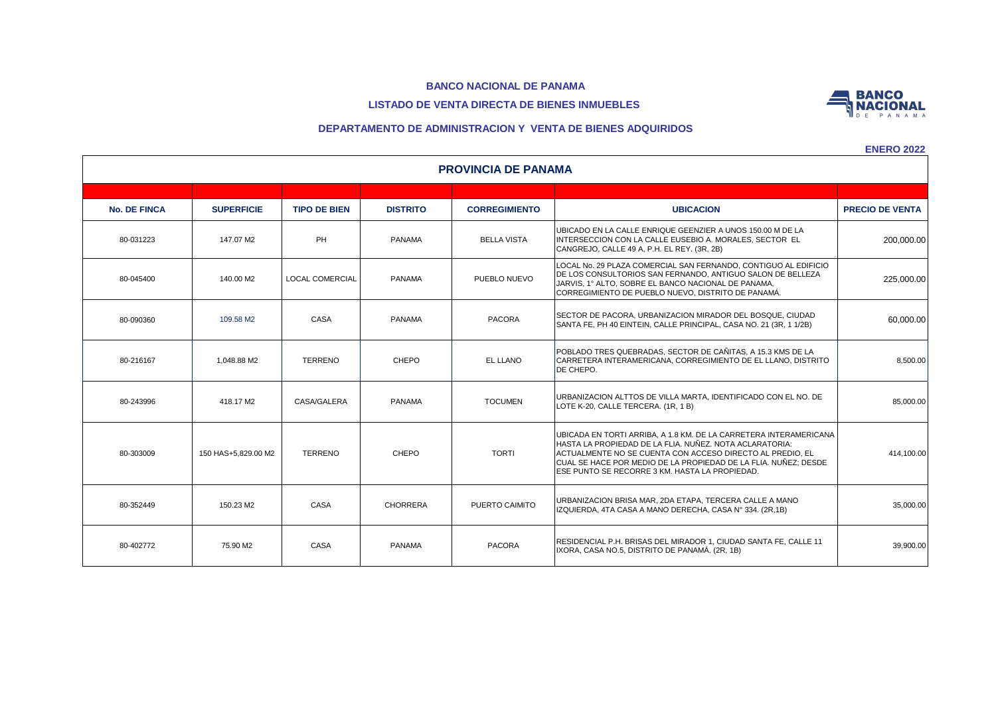# **LISTADO DE VENTA DIRECTA DE BIENES INMUEBLES**



**ENERO 2022**

**BANCO NACIONAL** 

| <b>PROVINCIA DE PANAMA</b> |                     |                     |                 |                      |                                                                                                                                                                                                                                                                                                                |                        |  |  |  |
|----------------------------|---------------------|---------------------|-----------------|----------------------|----------------------------------------------------------------------------------------------------------------------------------------------------------------------------------------------------------------------------------------------------------------------------------------------------------------|------------------------|--|--|--|
|                            |                     |                     |                 |                      |                                                                                                                                                                                                                                                                                                                |                        |  |  |  |
| <b>No. DE FINCA</b>        | <b>SUPERFICIE</b>   | <b>TIPO DE BIEN</b> | <b>DISTRITO</b> | <b>CORREGIMIENTO</b> | <b>UBICACION</b>                                                                                                                                                                                                                                                                                               | <b>PRECIO DE VENTA</b> |  |  |  |
| 80-031223                  | 147.07 M2           | PH                  | <b>PANAMA</b>   | <b>BELLA VISTA</b>   | UBICADO EN LA CALLE ENRIQUE GEENZIER A UNOS 150.00 M DE LA<br>INTERSECCION CON LA CALLE EUSEBIO A. MORALES. SECTOR_EL<br>CANGREJO, CALLE 49 A, P.H. EL REY. (3R, 2B)                                                                                                                                           | 200,000.00             |  |  |  |
| 80-045400                  | 140.00 M2           | LOCAL COMERCIAL     | <b>PANAMA</b>   | PUEBLO NUEVO         | LOCAL No. 29 PLAZA COMERCIAL SAN FERNANDO, CONTIGUO AL EDIFICIO<br>DE LOS CONSULTORIOS SAN FERNANDO, ANTIGUO SALON DE BELLEZA<br>JARVIS, 1º ALTO, SOBRE EL BANCO NACIONAL DE PANAMA,<br>CORREGIMIENTO DE PUEBLO NUEVO, DISTRITO DE PANAMÁ.                                                                     | 225,000.00             |  |  |  |
| 80-090360                  | 109.58 M2           | CASA                | <b>PANAMA</b>   | <b>PACORA</b>        | SECTOR DE PACORA, URBANIZACION MIRADOR DEL BOSQUE, CIUDAD<br>SANTA FE. PH 40 EINTEIN. CALLE PRINCIPAL. CASA NO. 21 (3R. 1 1/2B)                                                                                                                                                                                | 60,000.00              |  |  |  |
| 80-216167                  | 1,048.88 M2         | <b>TERRENO</b>      | CHEPO           | EL LLANO             | POBLADO TRES QUEBRADAS, SECTOR DE CAÑITAS, A 15.3 KMS DE LA<br>CARRETERA INTERAMERICANA, CORREGIMIENTO DE EL LLANO, DISTRITO<br>DE CHEPO.                                                                                                                                                                      | 8,500.00               |  |  |  |
| 80-243996                  | 418.17 M2           | CASA/GALERA         | <b>PANAMA</b>   | <b>TOCUMEN</b>       | URBANIZACION ALTTOS DE VILLA MARTA, IDENTIFICADO CON EL NO. DE<br>LOTE K-20, CALLE TERCERA, (1R, 1 B)                                                                                                                                                                                                          | 85,000.00              |  |  |  |
| 80-303009                  | 150 HAS+5.829.00 M2 | <b>TERRENO</b>      | CHEPO           | <b>TORTI</b>         | UBICADA EN TORTI ARRIBA. A 1.8 KM. DE LA CARRETERA INTERAMERICANA<br>HASTA LA PROPIEDAD DE LA FLIA. NUÑEZ. NOTA ACLARATORIA:<br>ACTUALMENTE NO SE CUENTA CON ACCESO DIRECTO AL PREDIO, EL<br>CUAL SE HACE POR MEDIO DE LA PROPIEDAD DE LA FLIA. NUÑEZ: DESDE<br>ESE PUNTO SE RECORRE 3 KM. HASTA LA PROPIEDAD. | 414,100.00             |  |  |  |
| 80-352449                  | 150.23 M2           | CASA                | <b>CHORRERA</b> | PUERTO CAIMITO       | URBANIZACION BRISA MAR, 2DA ETAPA, TERCERA CALLE A MANO<br>IZQUIERDA, 4TA CASA A MANO DERECHA, CASA Nº 334. (2R,1B)                                                                                                                                                                                            | 35,000.00              |  |  |  |
| 80-402772                  | 75.90 M2            | CASA                | <b>PANAMA</b>   | <b>PACORA</b>        | RESIDENCIAL P.H. BRISAS DEL MIRADOR 1. CIUDAD SANTA FE. CALLE 11<br>IXORA, CASA NO.5, DISTRITO DE PANAMÁ, (2R. 1B)                                                                                                                                                                                             | 39,900.00              |  |  |  |